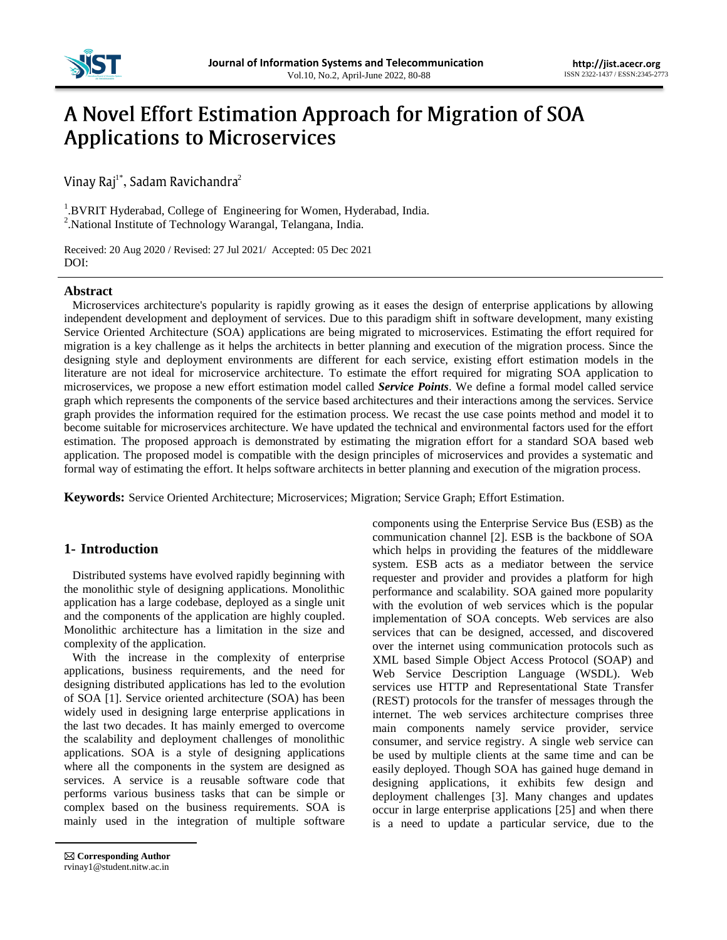

# A Novel Effort Estimation Approach for Migration of SOA **Applications to Microservices**

 $^{1*}$ , Sadam Ravichandra $^{2}$ 

<sup>1</sup>.BVRIT Hyderabad, College of Engineering for Women, Hyderabad, India. 2 .National Institute of Technology Warangal, Telangana, India.

Received: 20 Aug 2020 / Revised: 27 Jul 2021/ Accepted: 05 Dec 2021 DOI:

## **Abstract**

Microservices architecture's popularity is rapidly growing as it eases the design of enterprise applications by allowing independent development and deployment of services. Due to this paradigm shift in software development, many existing Service Oriented Architecture (SOA) applications are being migrated to microservices. Estimating the effort required for migration is a key challenge as it helps the architects in better planning and execution of the migration process. Since the designing style and deployment environments are different for each service, existing effort estimation models in the literature are not ideal for microservice architecture. To estimate the effort required for migrating SOA application to microservices, we propose a new effort estimation model called *Service Points*. We define a formal model called service graph which represents the components of the service based architectures and their interactions among the services. Service graph provides the information required for the estimation process. We recast the use case points method and model it to become suitable for microservices architecture. We have updated the technical and environmental factors used for the effort estimation. The proposed approach is demonstrated by estimating the migration effort for a standard SOA based web application. The proposed model is compatible with the design principles of microservices and provides a systematic and formal way of estimating the effort. It helps software architects in better planning and execution of the migration process.

**Keywords:** Service Oriented Architecture; Microservices; Migration; Service Graph; Effort Estimation.

# **1- Introduction**

Distributed systems have evolved rapidly beginning with the monolithic style of designing applications. Monolithic application has a large codebase, deployed as a single unit and the components of the application are highly coupled. Monolithic architecture has a limitation in the size and complexity of the application.

With the increase in the complexity of enterprise applications, business requirements, and the need for designing distributed applications has led to the evolution of SOA [1]. Service oriented architecture (SOA) has been widely used in designing large enterprise applications in the last two decades. It has mainly emerged to overcome the scalability and deployment challenges of monolithic applications. SOA is a style of designing applications where all the components in the system are designed as services. A service is a reusable software code that performs various business tasks that can be simple or complex based on the business requirements. SOA is mainly used in the integration of multiple software components using the Enterprise Service Bus (ESB) as the communication channel [2]. ESB is the backbone of SOA which helps in providing the features of the middleware system. ESB acts as a mediator between the service requester and provider and provides a platform for high performance and scalability. SOA gained more popularity with the evolution of web services which is the popular implementation of SOA concepts. Web services are also services that can be designed, accessed, and discovered over the internet using communication protocols such as XML based Simple Object Access Protocol (SOAP) and Web Service Description Language (WSDL). Web services use HTTP and Representational State Transfer (REST) protocols for the transfer of messages through the internet. The web services architecture comprises three main components namely service provider, service consumer, and service registry. A single web service can be used by multiple clients at the same time and can be easily deployed. Though SOA has gained huge demand in designing applications, it exhibits few design and deployment challenges [3]. Many changes and updates occur in large enterprise applications [25] and when there is a need to update a particular service, due to the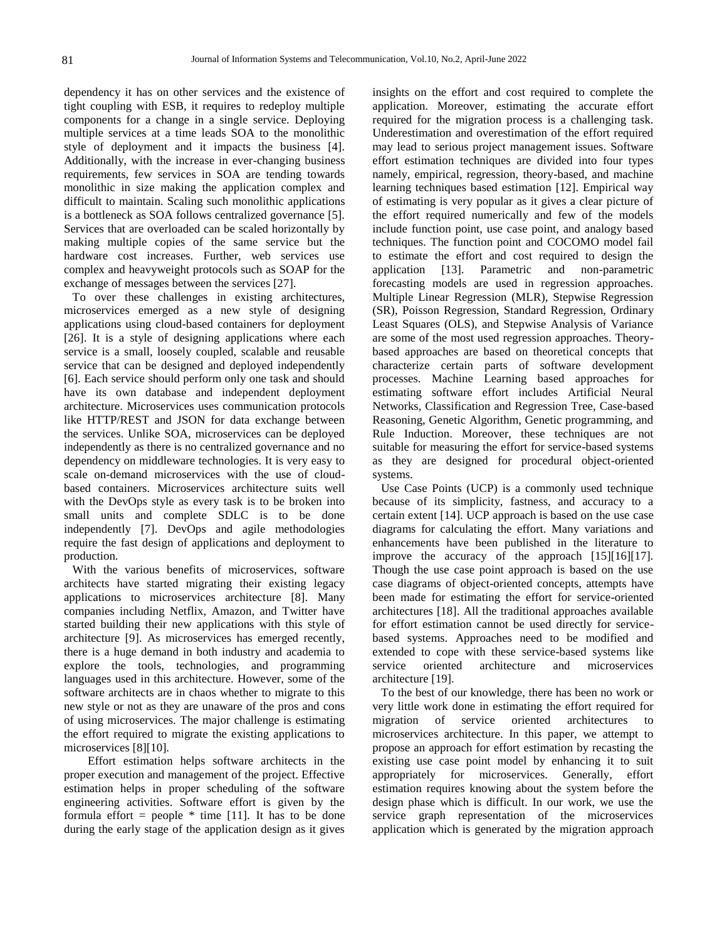dependency it has on other services and the existence of tight coupling with ESB, it requires to redeploy multiple components for a change in a single service. Deploying multiple services at a time leads SOA to the monolithic style of deployment and it impacts the business [4]. Additionally, with the increase in ever-changing business requirements, few services in SOA are tending towards monolithic in size making the application complex and difficult to maintain. Scaling such monolithic applications is a bottleneck as SOA follows centralized governance [5]. Services that are overloaded can be scaled horizontally by making multiple copies of the same service but the hardware cost increases. Further, web services use complex and heavyweight protocols such as SOAP for the exchange of messages between the services [27].

To over these challenges in existing architectures, microservices emerged as a new style of designing applications using cloud-based containers for deployment [26]. It is a style of designing applications where each service is a small, loosely coupled, scalable and reusable service that can be designed and deployed independently [6]. Each service should perform only one task and should have its own database and independent deployment architecture. Microservices uses communication protocols like HTTP/REST and JSON for data exchange between the services. Unlike SOA, microservices can be deployed independently as there is no centralized governance and no dependency on middleware technologies. It is very easy to scale on-demand microservices with the use of cloudbased containers. Microservices architecture suits well with the DevOps style as every task is to be broken into small units and complete SDLC is to be done independently [7]. DevOps and agile methodologies require the fast design of applications and deployment to production.

With the various benefits of microservices, software architects have started migrating their existing legacy applications to microservices architecture [8]. Many companies including Netflix, Amazon, and Twitter have started building their new applications with this style of architecture [9]. As microservices has emerged recently, there is a huge demand in both industry and academia to explore the tools, technologies, and programming languages used in this architecture. However, some of the software architects are in chaos whether to migrate to this new style or not as they are unaware of the pros and cons of using microservices. The major challenge is estimating the effort required to migrate the existing applications to microservices [8][10].

Effort estimation helps software architects in the proper execution and management of the project. Effective estimation helps in proper scheduling of the software engineering activities. Software effort is given by the formula effort = people  $*$  time [11]. It has to be done during the early stage of the application design as it gives

insights on the effort and cost required to complete the application. Moreover, estimating the accurate effort required for the migration process is a challenging task. Underestimation and overestimation of the effort required may lead to serious project management issues. Software effort estimation techniques are divided into four types namely, empirical, regression, theory-based, and machine learning techniques based estimation [12]. Empirical way of estimating is very popular as it gives a clear picture of the effort required numerically and few of the models include function point, use case point, and analogy based techniques. The function point and COCOMO model fail to estimate the effort and cost required to design the application [13]. Parametric and non-parametric forecasting models are used in regression approaches. Multiple Linear Regression (MLR), Stepwise Regression (SR), Poisson Regression, Standard Regression, Ordinary Least Squares (OLS), and Stepwise Analysis of Variance are some of the most used regression approaches. Theorybased approaches are based on theoretical concepts that characterize certain parts of software development processes. Machine Learning based approaches for estimating software effort includes Artificial Neural Networks, Classification and Regression Tree, Case-based Reasoning, Genetic Algorithm, Genetic programming, and Rule Induction. Moreover, these techniques are not suitable for measuring the effort for service-based systems as they are designed for procedural object-oriented systems.

Use Case Points (UCP) is a commonly used technique because of its simplicity, fastness, and accuracy to a certain extent [14]. UCP approach is based on the use case diagrams for calculating the effort. Many variations and enhancements have been published in the literature to improve the accuracy of the approach [15][16][17]. Though the use case point approach is based on the use case diagrams of object-oriented concepts, attempts have been made for estimating the effort for service-oriented architectures [18]. All the traditional approaches available for effort estimation cannot be used directly for servicebased systems. Approaches need to be modified and extended to cope with these service-based systems like service oriented architecture and microservices architecture [19].

To the best of our knowledge, there has been no work or very little work done in estimating the effort required for migration of service oriented architectures to microservices architecture. In this paper, we attempt to propose an approach for effort estimation by recasting the existing use case point model by enhancing it to suit appropriately for microservices. Generally, effort estimation requires knowing about the system before the design phase which is difficult. In our work, we use the service graph representation of the microservices application which is generated by the migration approach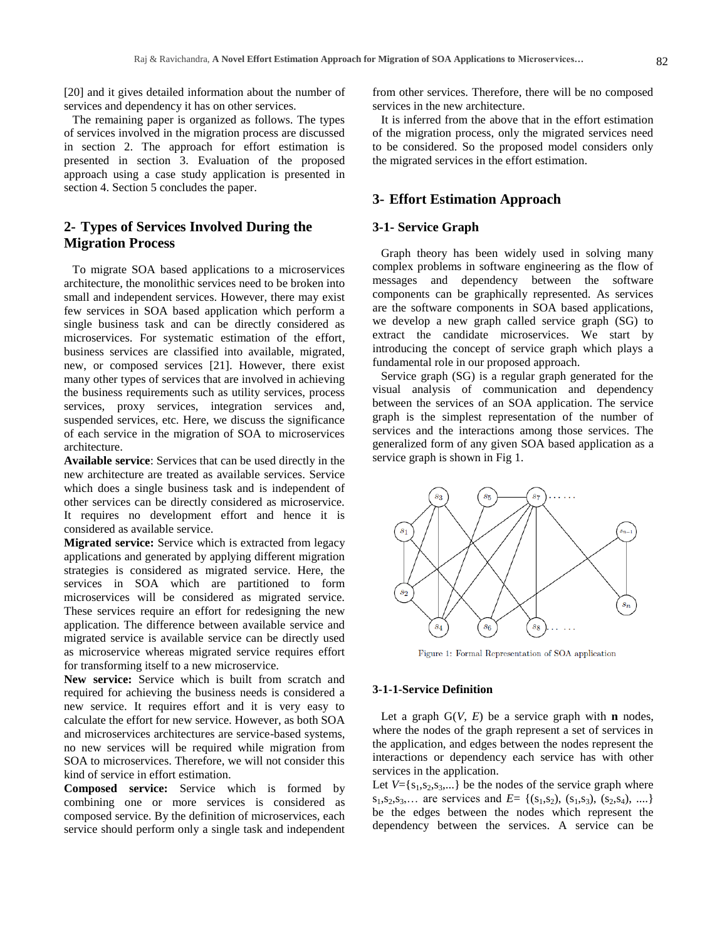[20] and it gives detailed information about the number of services and dependency it has on other services.

The remaining paper is organized as follows. The types of services involved in the migration process are discussed in section 2. The approach for effort estimation is presented in section 3. Evaluation of the proposed approach using a case study application is presented in section 4. Section 5 concludes the paper.

# **2- Types of Services Involved During the Migration Process**

To migrate SOA based applications to a microservices architecture, the monolithic services need to be broken into small and independent services. However, there may exist few services in SOA based application which perform a single business task and can be directly considered as microservices. For systematic estimation of the effort, business services are classified into available, migrated, new, or composed services [21]. However, there exist many other types of services that are involved in achieving the business requirements such as utility services, process services, proxy services, integration services and, suspended services, etc. Here, we discuss the significance of each service in the migration of SOA to microservices architecture.

**Available service**: Services that can be used directly in the new architecture are treated as available services. Service which does a single business task and is independent of other services can be directly considered as microservice. It requires no development effort and hence it is considered as available service.

**Migrated service:** Service which is extracted from legacy applications and generated by applying different migration strategies is considered as migrated service. Here, the services in SOA which are partitioned to form microservices will be considered as migrated service. These services require an effort for redesigning the new application. The difference between available service and migrated service is available service can be directly used as microservice whereas migrated service requires effort for transforming itself to a new microservice.

**New service:** Service which is built from scratch and required for achieving the business needs is considered a new service. It requires effort and it is very easy to calculate the effort for new service. However, as both SOA and microservices architectures are service-based systems, no new services will be required while migration from SOA to microservices. Therefore, we will not consider this kind of service in effort estimation.

**Composed service:** Service which is formed by combining one or more services is considered as composed service. By the definition of microservices, each service should perform only a single task and independent

from other services. Therefore, there will be no composed services in the new architecture.

It is inferred from the above that in the effort estimation of the migration process, only the migrated services need to be considered. So the proposed model considers only the migrated services in the effort estimation.

# **3- Effort Estimation Approach**

## **3-1- Service Graph**

Graph theory has been widely used in solving many complex problems in software engineering as the flow of messages and dependency between the software components can be graphically represented. As services are the software components in SOA based applications, we develop a new graph called service graph (SG) to extract the candidate microservices. We start by introducing the concept of service graph which plays a fundamental role in our proposed approach.

Service graph (SG) is a regular graph generated for the visual analysis of communication and dependency between the services of an SOA application. The service graph is the simplest representation of the number of services and the interactions among those services. The generalized form of any given SOA based application as a service graph is shown in Fig 1.



Figure 1: Formal Representation of SOA application

#### **3-1-1-Service Definition**

Let a graph  $G(V, E)$  be a service graph with **n** nodes, where the nodes of the graph represent a set of services in the application, and edges between the nodes represent the interactions or dependency each service has with other services in the application.

Let  $V = \{s_1, s_2, s_3, ...\}$  be the nodes of the service graph where  $s_1, s_2, s_3, \ldots$  are services and  $E = \{(s_1, s_2), (s_1, s_3), (s_2, s_4), \ldots\}$ be the edges between the nodes which represent the dependency between the services. A service can be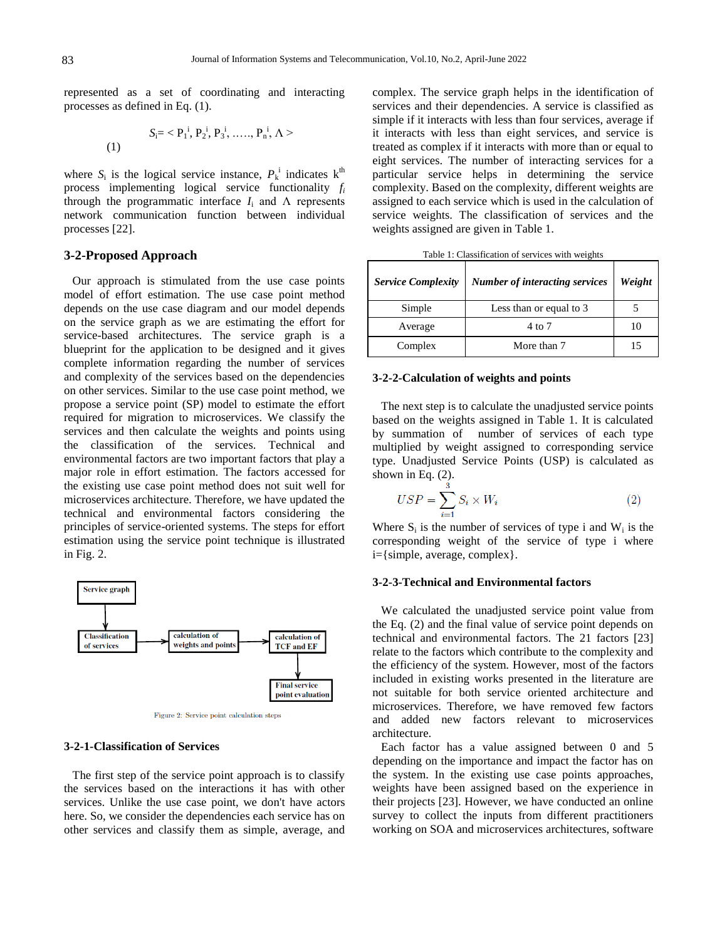represented as a set of coordinating and interacting processes as defined in Eq. (1).

(1) 
$$
S_i = \langle P_1^i, P_2^i, P_3^i, \dots, P_n^i, \Lambda \rangle
$$

where  $S_i$  is the logical service instance,  $P_k^i$  indicates  $k^{\text{th}}$ process implementing logical service functionality *f<sup>i</sup>* through the programmatic interface  $I_i$  and  $\Lambda$  represents network communication function between individual processes [22].

### **3-2-Proposed Approach**

Our approach is stimulated from the use case points model of effort estimation. The use case point method depends on the use case diagram and our model depends on the service graph as we are estimating the effort for service-based architectures. The service graph is a blueprint for the application to be designed and it gives complete information regarding the number of services and complexity of the services based on the dependencies on other services. Similar to the use case point method, we propose a service point (SP) model to estimate the effort required for migration to microservices. We classify the services and then calculate the weights and points using the classification of the services. Technical and environmental factors are two important factors that play a major role in effort estimation. The factors accessed for the existing use case point method does not suit well for microservices architecture. Therefore, we have updated the technical and environmental factors considering the principles of service-oriented systems. The steps for effort estimation using the service point technique is illustrated in Fig. 2.



Figure 2: Service point calculation steps

#### **3-2-1-Classification of Services**

The first step of the service point approach is to classify the services based on the interactions it has with other services. Unlike the use case point, we don't have actors here. So, we consider the dependencies each service has on other services and classify them as simple, average, and complex. The service graph helps in the identification of services and their dependencies. A service is classified as simple if it interacts with less than four services, average if it interacts with less than eight services, and service is treated as complex if it interacts with more than or equal to eight services. The number of interacting services for a particular service helps in determining the service complexity. Based on the complexity, different weights are assigned to each service which is used in the calculation of service weights. The classification of services and the weights assigned are given in Table 1.

| <b>Service Complexity</b> | <b>Number of interacting services</b> | Weight |
|---------------------------|---------------------------------------|--------|
| Simple                    | Less than or equal to 3               |        |
| Average                   | 4 to 7                                |        |
| Complex                   | More than 7                           |        |

Table 1: Classification of services with weights

#### **3-2-2-Calculation of weights and points**

The next step is to calculate the unadjusted service points based on the weights assigned in Table 1. It is calculated by summation of number of services of each type multiplied by weight assigned to corresponding service type. Unadjusted Service Points (USP) is calculated as shown in Eq.  $(2)$ .

$$
USP = \sum_{i=1}^{3} S_i \times W_i \tag{2}
$$

Where  $S_i$  is the number of services of type i and  $W_i$  is the corresponding weight of the service of type i where i={simple, average, complex}.

### **3-2-3-Technical and Environmental factors**

We calculated the unadjusted service point value from the Eq. (2) and the final value of service point depends on technical and environmental factors. The 21 factors [23] relate to the factors which contribute to the complexity and the efficiency of the system. However, most of the factors included in existing works presented in the literature are not suitable for both service oriented architecture and microservices. Therefore, we have removed few factors and added new factors relevant to microservices architecture.

Each factor has a value assigned between 0 and 5 depending on the importance and impact the factor has on the system. In the existing use case points approaches, weights have been assigned based on the experience in their projects [23]. However, we have conducted an online survey to collect the inputs from different practitioners working on SOA and microservices architectures, software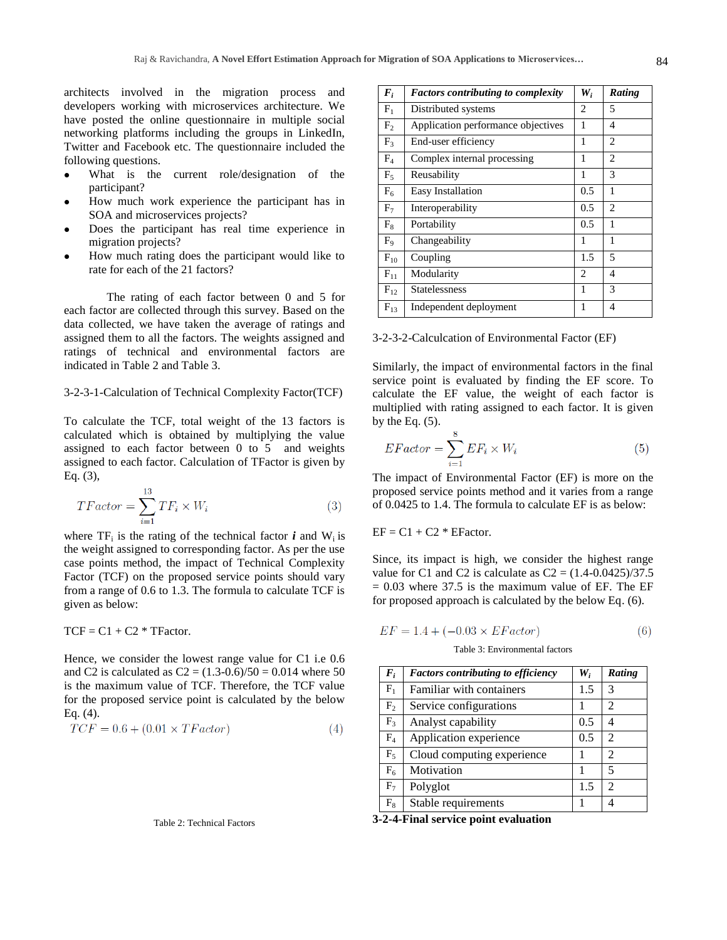architects involved in the migration process and developers working with microservices architecture. We have posted the online questionnaire in multiple social networking platforms including the groups in LinkedIn, Twitter and Facebook etc. The questionnaire included the following questions.

- What is the current role/designation of the participant?
- How much work experience the participant has in SOA and microservices projects?
- Does the participant has real time experience in migration projects?
- How much rating does the participant would like to rate for each of the 21 factors?

The rating of each factor between 0 and 5 for each factor are collected through this survey. Based on the data collected, we have taken the average of ratings and assigned them to all the factors. The weights assigned and ratings of technical and environmental factors are indicated in Table 2 and Table 3.

## 3-2-3-1-Calculation of Technical Complexity Factor(TCF)

To calculate the TCF, total weight of the 13 factors is calculated which is obtained by multiplying the value assigned to each factor between 0 to 5 and weights assigned to each factor. Calculation of TFactor is given by Eq. (3),

$$
TFactor = \sum_{i=1}^{13} TF_i \times W_i
$$
\n(3)

where  $TF_i$  is the rating of the technical factor *i* and  $W_i$  is the weight assigned to corresponding factor. As per the use case points method, the impact of Technical Complexity Factor (TCF) on the proposed service points should vary from a range of 0.6 to 1.3. The formula to calculate TCF is given as below:

 $TCF = C1 + C2$  \* TFactor.

Hence, we consider the lowest range value for C1 i.e 0.6 and C2 is calculated as  $C2 = (1.3-0.6)/50 = 0.014$  where 50 is the maximum value of TCF. Therefore, the TCF value for the proposed service point is calculated by the below Eq. (4).

$$
TCF = 0.6 + (0.01 \times TFactor)
$$
\n<sup>(4)</sup>

Table 2: Technical Factors

| $\boldsymbol{F}_i$ | <b>Factors contributing to complexity</b> | W,  | <b>Rating</b> |
|--------------------|-------------------------------------------|-----|---------------|
| $F_1$              | Distributed systems                       | 2   | 5             |
| F <sub>2</sub>     | Application performance objectives        | 1   | 4             |
| $F_3$              | End-user efficiency                       | 1   | 2             |
| $F_4$              | Complex internal processing               | 1   | 2             |
| $F_5$              | Reusability                               | 1   | 3             |
| $F_6$              | Easy Installation                         | 0.5 | 1             |
| $F_7$              | Interoperability                          | 0.5 | 2             |
| $F_8$              | Portability                               | 0.5 | 1             |
| F <sub>9</sub>     | Changeability                             | 1   | 1             |
| $F_{10}$           | Coupling                                  | 1.5 | 5             |
| $F_{11}$           | Modularity                                | 2   | 4             |
| $F_{12}$           | <b>Statelessness</b>                      | 1   | 3             |
| $F_{13}$           | Independent deployment                    | 1   | 4             |

3-2-3-2-Calculcation of Environmental Factor (EF)

Similarly, the impact of environmental factors in the final service point is evaluated by finding the EF score. To calculate the EF value, the weight of each factor is multiplied with rating assigned to each factor. It is given by the Eq.  $(5)$ .

$$
EFactor = \sum_{i=1}^{8} EF_i \times W_i
$$
 (5)

The impact of Environmental Factor (EF) is more on the proposed service points method and it varies from a range of 0.0425 to 1.4. The formula to calculate EF is as below:

$$
EF = C1 + C2 * EFactor.
$$

Since, its impact is high, we consider the highest range value for C1 and C2 is calculate as  $C_2 = (1.4 - 0.0425)/37.5$  $= 0.03$  where 37.5 is the maximum value of EF. The EF for proposed approach is calculated by the below Eq. (6).

$$
EF = 1.4 + (-0.03 \times EFactor)
$$
 (6)

Table 3: Environmental factors

| $F_i$          | <b>Factors contributing to efficiency</b> | $W_i$ | <b>Rating</b>  |
|----------------|-------------------------------------------|-------|----------------|
| $F_1$          | <b>Familiar with containers</b>           | 1.5   | 3              |
| F <sub>2</sub> | Service configurations                    |       | 2              |
| $F_3$          | Analyst capability                        | 0.5   |                |
| $F_4$          | Application experience                    | 0.5   | $\mathfrak{D}$ |
| $F_5$          | Cloud computing experience                |       | 2              |
| $F_6$          | Motivation                                |       | 5              |
| $F_7$          | Polyglot                                  | 1.5   | $\mathfrak{D}$ |
| $F_8$          | Stable requirements                       |       |                |

**3-2-4-Final service point evaluation**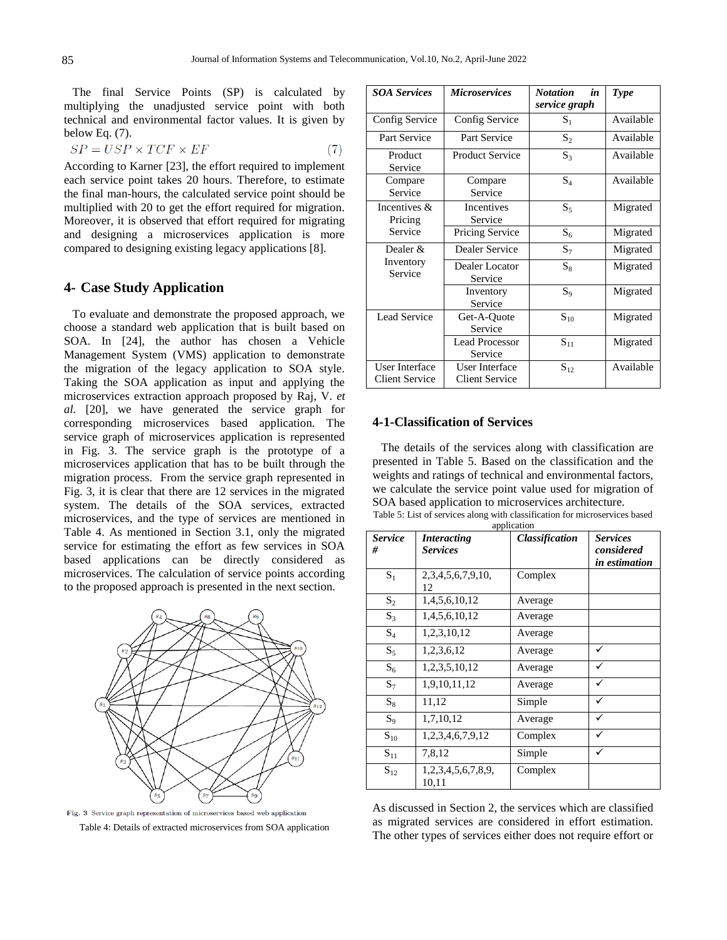The final Service Points (SP) is calculated by multiplying the unadjusted service point with both technical and environmental factor values. It is given by below Eq. (7).

$$
SP = USP \times TCF \times EF \tag{7}
$$

According to Karner [23], the effort required to implement each service point takes 20 hours. Therefore, to estimate the final man-hours, the calculated service point should be multiplied with 20 to get the effort required for migration. Moreover, it is observed that effort required for migrating and designing a microservices application is more compared to designing existing legacy applications [8].

## **4- Case Study Application**

To evaluate and demonstrate the proposed approach, we choose a standard web application that is built based on SOA. In [24], the author has chosen a Vehicle Management System (VMS) application to demonstrate the migration of the legacy application to SOA style. Taking the SOA application as input and applying the microservices extraction approach proposed by Raj, V. *et al.* [20], we have generated the service graph for corresponding microservices based application. The service graph of microservices application is represented in Fig. 3. The service graph is the prototype of a microservices application that has to be built through the migration process. From the service graph represented in Fig. 3, it is clear that there are 12 services in the migrated system. The details of the SOA services, extracted microservices, and the type of services are mentioned in Table 4. As mentioned in Section 3.1, only the migrated service for estimating the effort as few services in SOA based applications can be directly considered as microservices. The calculation of service points according to the proposed approach is presented in the next section.



 ${\rm Fig.~3~$  Service graph representation of microservices based web application Table 4: Details of extracted microservices from SOA application

| <b>SOA Services</b>                     | <b>Microservices</b>                    | <b>Notation</b><br>in<br>service graph | <b>Type</b> |
|-----------------------------------------|-----------------------------------------|----------------------------------------|-------------|
| Config Service                          | Config Service                          | $S_1$                                  | Available   |
| Part Service                            | Part Service                            | $S_2$                                  | Available   |
| Product<br>Service                      | <b>Product Service</b>                  | $S_3$                                  | Available   |
| Compare<br>Service                      | Compare<br>Service                      | $S_4$                                  | Available   |
| Incentives &<br>Pricing                 | Incentives<br>Service                   | $S_5$                                  | Migrated    |
| Service                                 | Pricing Service                         | $S_6$                                  | Migrated    |
| Dealer $\&$<br>Inventory<br>Service     | Dealer Service                          | $S_7$                                  | Migrated    |
|                                         | Dealer Locator<br>Service               | $S_8$                                  | Migrated    |
|                                         | Inventory<br>Service                    | $S_9$                                  | Migrated    |
| <b>Lead Service</b>                     | Get-A-Quote<br>Service                  | $\mathbf{S}_{10}$                      | Migrated    |
|                                         | <b>Lead Processor</b><br>Service        | $S_{11}$                               | Migrated    |
| User Interface<br><b>Client Service</b> | User Interface<br><b>Client Service</b> | $S_{12}$                               | Available   |

#### **4-1-Classification of Services**

The details of the services along with classification are presented in Table 5. Based on the classification and the weights and ratings of technical and environmental factors, we calculate the service point value used for migration of SOA based application to microservices architecture.

Table 5: List of services along with classification for microservices based

| application         |                                       |                       |                                                       |
|---------------------|---------------------------------------|-----------------------|-------------------------------------------------------|
| <b>Service</b><br># | <b>Interacting</b><br><b>Services</b> | <b>Classification</b> | <b>Services</b><br>considered<br><i>in estimation</i> |
| $S_1$               | 2, 3, 4, 5, 6, 7, 9, 10,<br>12        | Complex               |                                                       |
| $S_2$               | 1,4,5,6,10,12                         | Average               |                                                       |
| $S_3$               | 1,4,5,6,10,12                         | Average               |                                                       |
| $S_4$               | 1,2,3,10,12                           | Average               |                                                       |
| $S_5$               | 1,2,3,6,12                            | Average               | ✓                                                     |
| $S_6$               | 1,2,3,5,10,12                         | Average               |                                                       |
| $S_7$               | 1,9,10,11,12                          | Average               |                                                       |
| $S_8$               | 11,12                                 | Simple                | ✓                                                     |
| $S_9$               | 1,7,10,12                             | Average               |                                                       |
| $S_{10}$            | 1,2,3,4,6,7,9,12                      | Complex               |                                                       |
| $S_{11}$            | 7,8,12                                | Simple                |                                                       |
| $S_{12}$            | 1,2,3,4,5,6,7,8,9,<br>10,11           | Complex               |                                                       |

As discussed in Section 2, the services which are classified as migrated services are considered in effort estimation. The other types of services either does not require effort or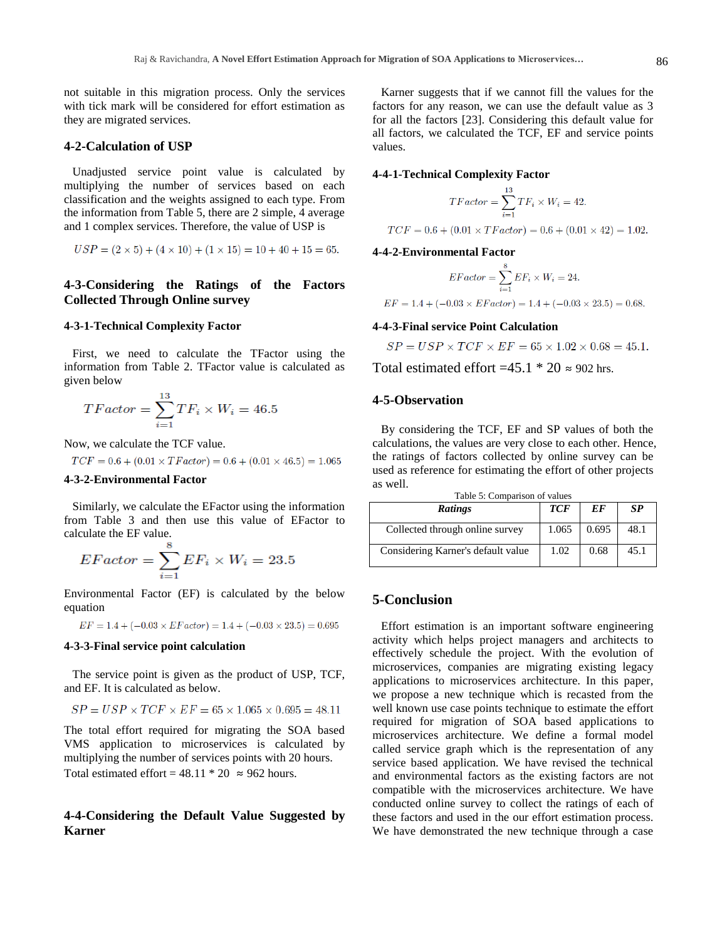not suitable in this migration process. Only the services with tick mark will be considered for effort estimation as they are migrated services.

## **4-2-Calculation of USP**

Unadjusted service point value is calculated by multiplying the number of services based on each classification and the weights assigned to each type. From the information from Table 5, there are 2 simple, 4 average and 1 complex services. Therefore, the value of USP is

$$
USP = (2 \times 5) + (4 \times 10) + (1 \times 15) = 10 + 40 + 15 = 65.
$$

## **4-3-Considering the Ratings of the Factors Collected Through Online survey**

## **4-3-1-Technical Complexity Factor**

First, we need to calculate the TFactor using the information from Table 2. TFactor value is calculated as given below

$$
TFactor = \sum_{i=1}^{13} TF_i \times W_i = 46.5
$$

Now, we calculate the TCF value.

$$
TCF = 0.6 + (0.01 \times TFactor) = 0.6 + (0.01 \times 46.5) = 1.065
$$

### **4-3-2-Environmental Factor**

Similarly, we calculate the EFactor using the information from Table 3 and then use this value of EFactor to calculate the EF value.

$$
EFactor = \sum_{i=1}^{6} EF_i \times W_i = 23.5
$$

Environmental Factor (EF) is calculated by the below equation

 $EF = 1.4 + (-0.03 \times EFactor) = 1.4 + (-0.03 \times 23.5) = 0.695$ 

#### **4-3-3-Final service point calculation**

The service point is given as the product of USP, TCF, and EF. It is calculated as below.

$$
SP = USP \times TCF \times EF = 65 \times 1.065 \times 0.695 = 48.11
$$

The total effort required for migrating the SOA based VMS application to microservices is calculated by multiplying the number of services points with 20 hours. Total estimated effort =  $48.11 * 20 \approx 962$  hours.

## **4-4-Considering the Default Value Suggested by Karner**

Karner suggests that if we cannot fill the values for the factors for any reason, we can use the default value as 3 for all the factors [23]. Considering this default value for all factors, we calculated the TCF, EF and service points values.

#### **4-4-1-Technical Complexity Factor**

$$
TFactor = \sum_{i=1}^{13} TF_i \times W_i = 42.
$$
  
 
$$
TCF = 0.6 + (0.01 \times TFactor) = 0.6 + (0.01 \times 42) = 1.02.
$$

## **4-4-2-Environmental Factor**

$$
EFactor = \sum_{i=1}^{8} EF_i \times W_i = 24.
$$

$$
EF = 1.4 + (-0.03 \times EFactor) = 1.4 + (-0.03 \times 23.5) = 0.68.
$$

## **4-4-3-Final service Point Calculation**

$$
SP = USP \times TCF \times EF = 65 \times 1.02 \times 0.68 = 45.1.
$$

Total estimated effort  $=45.1 * 20 \approx 902$  hrs.

## **4-5-Observation**

By considering the TCF, EF and SP values of both the calculations, the values are very close to each other. Hence, the ratings of factors collected by online survey can be used as reference for estimating the effort of other projects as well. Table 5: Comparison of values

| <b>Ratings</b>                     | <b>TCF</b> | EF    | <b>SP</b> |
|------------------------------------|------------|-------|-----------|
| Collected through online survey    | 1.065      | 0.695 | 48.1      |
| Considering Karner's default value | 1.02       | 0.68  | 45.1      |

# **5-Conclusion**

Effort estimation is an important software engineering activity which helps project managers and architects to effectively schedule the project. With the evolution of microservices, companies are migrating existing legacy applications to microservices architecture. In this paper, we propose a new technique which is recasted from the well known use case points technique to estimate the effort required for migration of SOA based applications to microservices architecture. We define a formal model called service graph which is the representation of any service based application. We have revised the technical and environmental factors as the existing factors are not compatible with the microservices architecture. We have conducted online survey to collect the ratings of each of these factors and used in the our effort estimation process. We have demonstrated the new technique through a case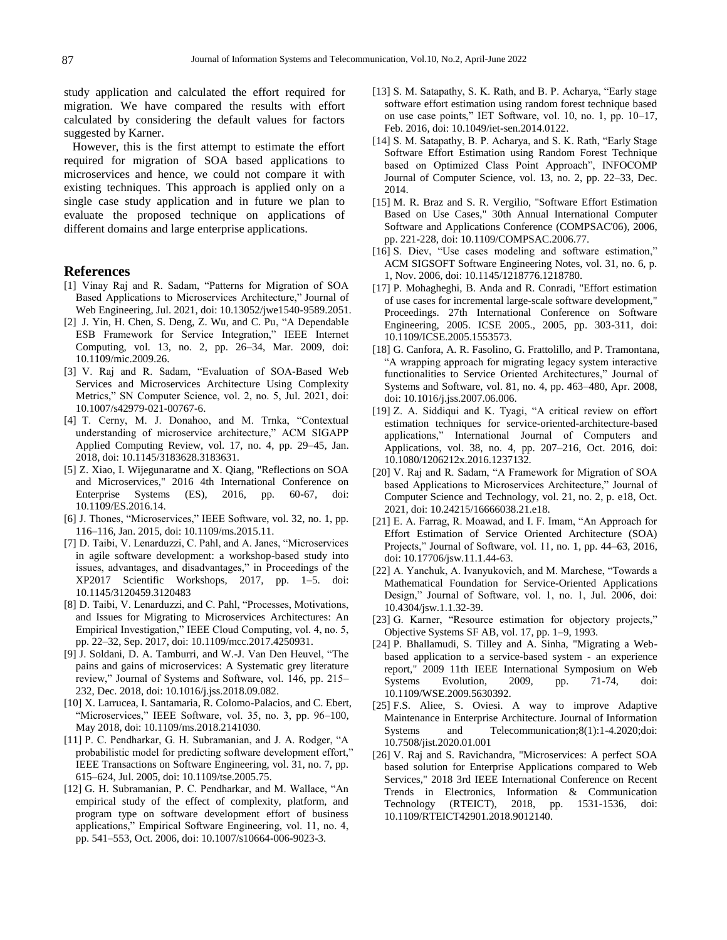study application and calculated the effort required for migration. We have compared the results with effort calculated by considering the default values for factors suggested by Karner.

However, this is the first attempt to estimate the effort required for migration of SOA based applications to microservices and hence, we could not compare it with existing techniques. This approach is applied only on a single case study application and in future we plan to evaluate the proposed technique on applications of different domains and large enterprise applications.

### **References**

- [1] Vinay Raj and R. Sadam, "Patterns for Migration of SOA Based Applications to Microservices Architecture," Journal of Web Engineering, Jul. 2021, doi: 10.13052/jwe1540-9589.2051.
- [2] J. Yin, H. Chen, S. Deng, Z. Wu, and C. Pu, "A Dependable ESB Framework for Service Integration," IEEE Internet Computing, vol. 13, no. 2, pp. 26–34, Mar. 2009, doi: 10.1109/mic.2009.26.
- [3] V. Raj and R. Sadam, "Evaluation of SOA-Based Web Services and Microservices Architecture Using Complexity Metrics," SN Computer Science, vol. 2, no. 5, Jul. 2021, doi: 10.1007/s42979-021-00767-6.
- [4] T. Cerny, M. J. Donahoo, and M. Trnka, "Contextual understanding of microservice architecture," ACM SIGAPP Applied Computing Review, vol. 17, no. 4, pp. 29–45, Jan. 2018, doi: 10.1145/3183628.3183631.
- [5] Z. Xiao, I. Wijegunaratne and X. Qiang, "Reflections on SOA and Microservices," 2016 4th International Conference on Enterprise Systems (ES), 2016, pp. 60-67, doi: 10.1109/ES.2016.14.
- [6] J. Thones, "Microservices," IEEE Software, vol. 32, no. 1, pp. 116–116, Jan. 2015, doi: 10.1109/ms.2015.11.
- [7] D. Taibi, V. Lenarduzzi, C. Pahl, and A. Janes, "Microservices in agile software development: a workshop-based study into issues, advantages, and disadvantages," in Proceedings of the XP2017 Scientific Workshops, 2017, pp. 1–5. [doi:](https://doi.org/10.1145/3120459.3120483)  [10.1145/3120459.3120483](https://doi.org/10.1145/3120459.3120483)
- [8] D. Taibi, V. Lenarduzzi, and C. Pahl, "Processes, Motivations, and Issues for Migrating to Microservices Architectures: An Empirical Investigation," IEEE Cloud Computing, vol. 4, no. 5, pp. 22–32, Sep. 2017, doi: 10.1109/mcc.2017.4250931.
- [9] J. Soldani, D. A. Tamburri, and W.-J. Van Den Heuvel, "The pains and gains of microservices: A Systematic grey literature review," Journal of Systems and Software, vol. 146, pp. 215– 232, Dec. 2018, doi: 10.1016/j.jss.2018.09.082.
- [10] X. Larrucea, I. Santamaria, R. Colomo-Palacios, and C. Ebert, "Microservices," IEEE Software, vol. 35, no. 3, pp. 96-100, May 2018, doi: 10.1109/ms.2018.2141030.
- [11] P. C. Pendharkar, G. H. Subramanian, and J. A. Rodger, "A probabilistic model for predicting software development effort," IEEE Transactions on Software Engineering, vol. 31, no. 7, pp. 615–624, Jul. 2005, doi: 10.1109/tse.2005.75.
- [12] G. H. Subramanian, P. C. Pendharkar, and M. Wallace, "An empirical study of the effect of complexity, platform, and program type on software development effort of business applications," Empirical Software Engineering, vol. 11, no. 4, pp. 541–553, Oct. 2006, doi: 10.1007/s10664-006-9023-3.
- [13] S. M. Satapathy, S. K. Rath, and B. P. Acharya, "Early stage software effort estimation using random forest technique based on use case points," IET Software, vol. 10, no. 1, pp. 10–17, Feb. 2016, doi: 10.1049/iet-sen.2014.0122.
- [14] S. M. Satapathy, B. P. Acharya, and S. K. Rath, "Early Stage" Software Effort Estimation using Random Forest Technique based on Optimized Class Point Approach", INFOCOMP Journal of Computer Science, vol. 13, no. 2, pp. 22–33, Dec. 2014.
- [15] M. R. Braz and S. R. Vergilio, "Software Effort Estimation Based on Use Cases," 30th Annual International Computer Software and Applications Conference (COMPSAC'06), 2006, pp. 221-228, doi: 10.1109/COMPSAC.2006.77.
- [16] S. Diev, "Use cases modeling and software estimation," ACM SIGSOFT Software Engineering Notes, vol. 31, no. 6, p. 1, Nov. 2006, doi: 10.1145/1218776.1218780.
- [17] P. Mohagheghi, B. Anda and R. Conradi, "Effort estimation of use cases for incremental large-scale software development," Proceedings. 27th International Conference on Software Engineering, 2005. ICSE 2005., 2005, pp. 303-311, doi: 10.1109/ICSE.2005.1553573.
- [18] G. Canfora, A. R. Fasolino, G. Frattolillo, and P. Tramontana, "A wrapping approach for migrating legacy system interactive functionalities to Service Oriented Architectures," Journal of Systems and Software, vol. 81, no. 4, pp. 463–480, Apr. 2008, doi: 10.1016/j.jss.2007.06.006.
- [19] Z. A. Siddiqui and K. Tyagi, "A critical review on effort estimation techniques for service-oriented-architecture-based applications," International Journal of Computers and Applications, vol. 38, no. 4, pp. 207–216, Oct. 2016, doi: 10.1080/1206212x.2016.1237132.
- [20] V. Raj and R. Sadam, "A Framework for Migration of SOA based Applications to Microservices Architecture," Journal of Computer Science and Technology, vol. 21, no. 2, p. e18, Oct. 2021, doi: 10.24215/16666038.21.e18.
- [21] E. A. Farrag, R. Moawad, and I. F. Imam, "An Approach for Effort Estimation of Service Oriented Architecture (SOA) Projects," Journal of Software, vol. 11, no. 1, pp. 44–63, 2016, doi: 10.17706/jsw.11.1.44-63.
- [22] A. Yanchuk, A. Ivanyukovich, and M. Marchese, "Towards a Mathematical Foundation for Service-Oriented Applications Design," Journal of Software, vol. 1, no. 1, Jul. 2006, doi: 10.4304/jsw.1.1.32-39.
- [23] G. Karner, "Resource estimation for objectory projects," Objective Systems SF AB, vol. 17, pp. 1–9, 1993.
- [24] P. Bhallamudi, S. Tilley and A. Sinha, "Migrating a Webbased application to a service-based system - an experience report," 2009 11th IEEE International Symposium on Web Systems Evolution, 2009, pp. 71-74, doi: 10.1109/WSE.2009.5630392.
- [25] F.S. Aliee, S. Oviesi. A way to improve Adaptive Maintenance in Enterprise Architecture. Journal of Information Systems and Telecommunication;8(1):1-4.2020;doi: 10.7508/jist.2020.01.001
- [26] V. Raj and S. Ravichandra, "Microservices: A perfect SOA based solution for Enterprise Applications compared to Web Services," 2018 3rd IEEE International Conference on Recent Trends in Electronics, Information & Communication Technology (RTEICT), 2018, pp. 1531-1536, doi: 10.1109/RTEICT42901.2018.9012140.